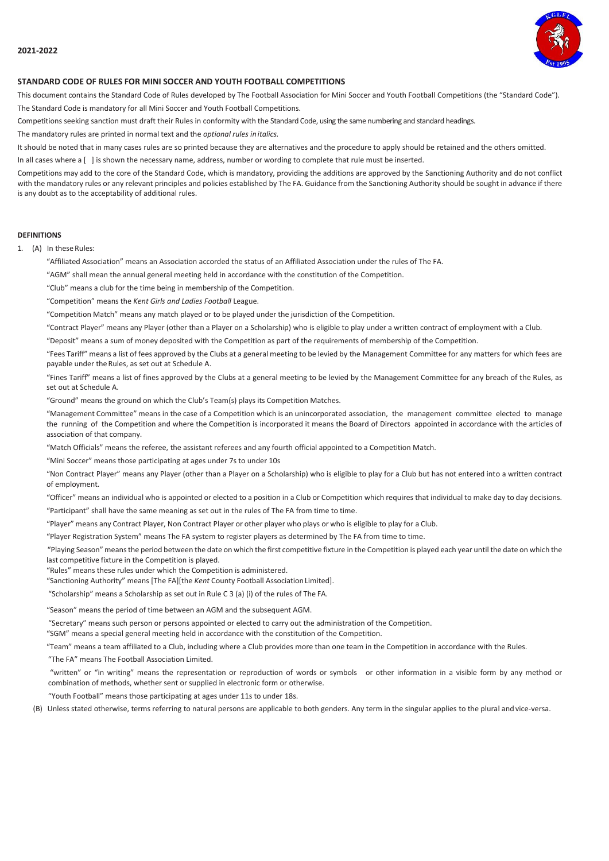

# **STANDARD CODE OF RULES FOR MINI SOCCER AND YOUTH FOOTBALL COMPETITIONS**

This document contains the Standard Code of Rules developed by The Football Association for Mini Soccer and Youth Football Competitions (the "Standard Code"). The Standard Code is mandatory for all Mini Soccer and Youth Football Competitions.

Competitions seeking sanction must draft their Rules in conformity with the Standard Code, using the same numbering and standard headings.

The mandatory rules are printed in normal text and the *optional rules initalics.*

It should be noted that in many cases rules are so printed because they are alternatives and the procedure to apply should be retained and the others omitted.

In all cases where a [ ] is shown the necessary name, address, number or wording to complete that rule must be inserted.

Competitions may add to the core of the Standard Code, which is mandatory, providing the additions are approved by the Sanctioning Authority and do not conflict with the mandatory rules or any relevant principles and policies established by The FA. Guidance from the Sanctioning Authority should be sought in advance if there is any doubt as to the acceptability of additional rules.

### **DEFINITIONS**

1. (A) In these Rules:

"Affiliated Association" means an Association accorded the status of an Affiliated Association under the rules of The FA.

"AGM" shall mean the annual general meeting held in accordance with the constitution of the Competition.

"Club" means a club for the time being in membership of the Competition.

"Competition" means the *Kent Girls and Ladies Football* League.

"Competition Match" means any match played or to be played under the jurisdiction of the Competition.

"Contract Player" means any Player (other than a Player on a Scholarship) who is eligible to play under a written contract of employment with a Club.

"Deposit" means a sum of money deposited with the Competition as part of the requirements of membership of the Competition.

"Fees Tariff" means a list of fees approved by the Clubs at a general meeting to be levied by the Management Committee for any matters for which fees are payable under the Rules, as set out at Schedule A.

"Fines Tariff" means a list of fines approved by the Clubs at a general meeting to be levied by the Management Committee for any breach of the Rules, as set out at Schedule A.

"Ground" means the ground on which the Club's Team(s) plays its Competition Matches.

"Management Committee" means in the case of a Competition which is an unincorporated association, the management committee elected to manage the running of the Competition and where the Competition is incorporated it means the Board of Directors appointed in accordance with the articles of association of that company.

"Match Officials" means the referee, the assistant referees and any fourth official appointed to a Competition Match.

"Mini Soccer" means those participating at ages under 7s to under 10s

"Non Contract Player" means any Player (other than a Player on a Scholarship) who is eligible to play for a Club but has not entered into a written contract of employment.

"Officer" means an individual who is appointed or elected to a position in a Club or Competition which requires that individual to make day to day decisions.

"Participant" shall have the same meaning as set out in the rules of The FA from time to time.

"Player" means any Contract Player, Non Contract Player or other player who plays or who is eligible to play for a Club.

"Player Registration System" means The FA system to register players as determined by The FA from time to time.

"Playing Season" meansthe period between the date on which the first competitive fixture in the Competition is played each year until the date on which the last competitive fixture in the Competition is played.

"Rules" means these rules under which the Competition is administered.

"Sanctioning Authority" means [The FA][the *Kent* County Football AssociationLimited].

"Scholarship" means a Scholarship as set out in Rule C 3 (a) (i) of the rules of The FA.

"Season" means the period of time between an AGM and the subsequent AGM.

"Secretary" means such person or persons appointed or elected to carry out the administration of the Competition.

"SGM" means a special general meeting held in accordance with the constitution of the Competition.

"Team" means a team affiliated to a Club, including where a Club provides more than one team in the Competition in accordance with the Rules.

"The FA" means The Football Association Limited.

"written" or "in writing" means the representation or reproduction of words or symbols or other information in a visible form by any method or combination of methods, whether sent or supplied in electronic form or otherwise.

"Youth Football" means those participating at ages under 11s to under 18s.

(B) Unless stated otherwise, terms referring to natural persons are applicable to both genders. Any term in the singular applies to the plural and vice-versa.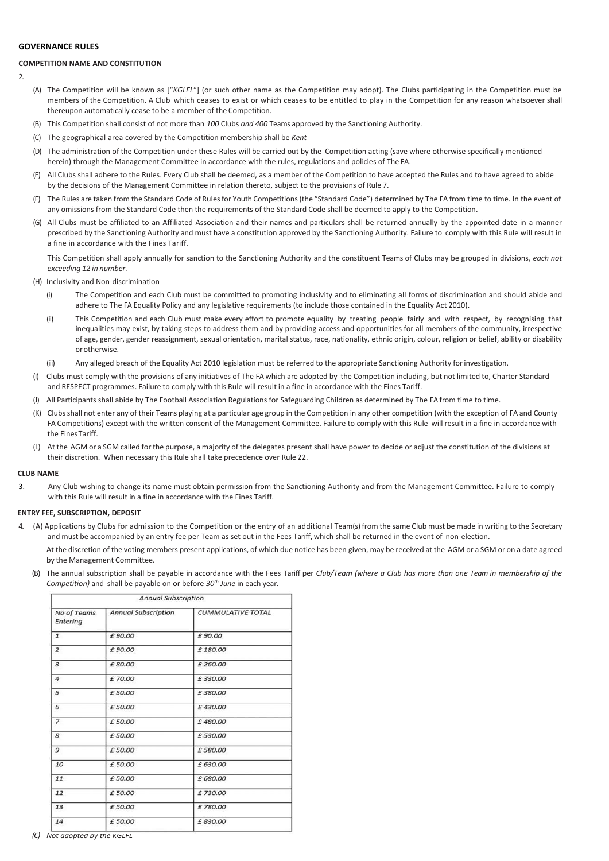# **GOVERNANCE RULES**

# **COMPETITION NAME AND CONSTITUTION**

 $\overline{2}$ 

- (A) The Competition will be known as ["*KGLFL*"] (or such other name as the Competition may adopt). The Clubs participating in the Competition must be members of the Competition. A Club which ceases to exist or which ceases to be entitled to play in the Competition for any reason whatsoever shall thereupon automatically cease to be a member of the Competition.
- (B) This Competition shall consist of not more than *100* Clubs *and 400* Teams approved by the Sanctioning Authority.
- (C) The geographical area covered by the Competition membership shall be *Kent*
- (D) The administration of the Competition under these Rules will be carried out by the Competition acting (save where otherwise specifically mentioned herein) through the Management Committee in accordance with the rules, regulations and policies of The FA.
- (E) All Clubs shall adhere to the Rules. Every Club shall be deemed, as a member of the Competition to have accepted the Rules and to have agreed to abide by the decisions of the Management Committee in relation thereto, subject to the provisions of Rule 7.
- (F) The Rules are taken from the Standard Code of Rulesfor Youth Competitions(the "Standard Code") determined by The FA from time to time. In the event of any omissions from the Standard Code then the requirements of the Standard Code shall be deemed to apply to the Competition.
- (G) All Clubs must be affiliated to an Affiliated Association and their names and particulars shall be returned annually by the appointed date in a manner prescribed by the Sanctioning Authority and must have a constitution approved by the Sanctioning Authority. Failure to comply with this Rule will result in a fine in accordance with the Fines Tariff.

This Competition shall apply annually for sanction to the Sanctioning Authority and the constituent Teams of Clubs may be grouped in divisions, *each not exceeding 12 in number.*

- (H) Inclusivity and Non-discrimination
	- (i) The Competition and each Club must be committed to promoting inclusivity and to eliminating all forms of discrimination and should abide and adhere to The FA Equality Policy and any legislative requirements (to include those contained in the Equality Act 2010).
	- (ii) This Competition and each Club must make every effort to promote equality by treating people fairly and with respect, by recognising that inequalities may exist, by taking steps to address them and by providing access and opportunities for all members of the community, irrespective of age, gender, gender reassignment, sexual orientation, marital status, race, nationality, ethnic origin, colour, religion or belief, ability or disability orotherwise.
	- (iii) Any alleged breach of the Equality Act 2010 legislation must be referred to the appropriate Sanctioning Authority forinvestigation.
- (I) Clubs must comply with the provisions of any initiatives of The FA which are adopted by the Competition including, but not limited to, Charter Standard and RESPECT programmes. Failure to comply with this Rule will result in a fine in accordance with the Fines Tariff.
- (J) All Participants shall abide by The Football Association Regulations for Safeguarding Children as determined by The FA from time to time.
- (K) Clubsshall not enter any of their Teams playing at a particular age group in the Competition in any other competition (with the exception of FA and County FA Competitions) except with the written consent of the Management Committee. Failure to comply with this Rule will result in a fine in accordance with the FinesTariff.
- (L) At the AGM or a SGM called for the purpose, a majority of the delegates present shall have power to decide or adjust the constitution of the divisions at their discretion. When necessary this Rule shall take precedence over Rule 22.

#### **CLUB NAME**

3. Any Club wishing to change its name must obtain permission from the Sanctioning Authority and from the Management Committee. Failure to comply with this Rule will result in a fine in accordance with the Fines Tariff.

#### **ENTRY FFE, SUBSCRIPTION, DEPOSIT**

4. (A) Applications by Clubs for admission to the Competition or the entry of an additional Team(s) from the same Club must be made in writing to the Secretary and must be accompanied by an entry fee per Team as set out in the Fees Tariff, which shall be returned in the event of non-election.

At the discretion of the voting members present applications, of which due notice has been given, may be received at the AGM or a SGM or on a date agreed by the Management Committee.

(B) The annual subscription shall be payable in accordance with the Fees Tariff per *Club/Team (where a Club has more than one Team in membership of the Competition)* and shall be payable on or before *30th June* in each year.

| <b>Annual Subscription</b> |                            |                          |  |  |  |
|----------------------------|----------------------------|--------------------------|--|--|--|
| No of Teams<br>Entering    | <b>Annual Subscription</b> | <b>CUMMULATIVE TOTAL</b> |  |  |  |
| $\mathbf{1}$               | £90.00                     | £90.00                   |  |  |  |
| $\overline{2}$             | £90.00                     | £180.00                  |  |  |  |
| 3                          | £80.00                     | £ 260.00                 |  |  |  |
| 4                          | £70.00                     | £330.00                  |  |  |  |
| 5                          | £50.00                     | £380.00                  |  |  |  |
| 6                          | £50.00                     | £430.00                  |  |  |  |
| $\overline{z}$             | £50.00                     | £480.00                  |  |  |  |
| 8                          | £50.00                     | £530.00                  |  |  |  |
| 9                          | £50.00                     | £580.00                  |  |  |  |
| 10                         | £50.00                     | £ 630.00                 |  |  |  |
| 11                         | £50.00                     | £ 680.00                 |  |  |  |
| 12                         | £50.00                     | £730.00                  |  |  |  |
| 13                         | £50.00                     | £780.00                  |  |  |  |
| 14                         | £50.00                     | £830.00                  |  |  |  |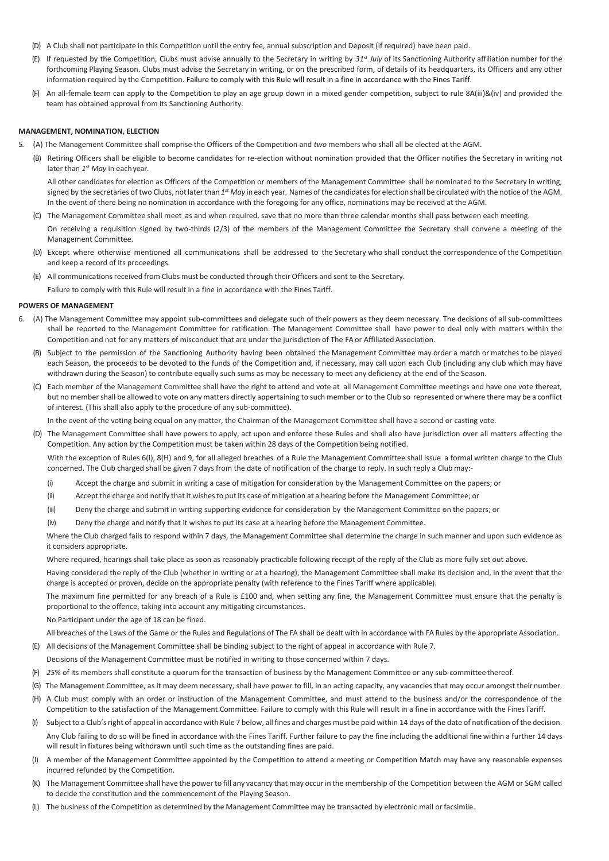- (D) A Club shall not participate in this Competition until the entry fee, annual subscription and Deposit (if required) have been paid.
- (E) If requested by the Competition, Clubs must advise annually to the Secretary in writing by *31st July* of its Sanctioning Authority affiliation number for the forthcoming Playing Season. Clubs must advise the Secretary in writing, or on the prescribed form, of details of its headquarters, its Officers and any other information required by the Competition. Failure to comply with this Rule will result in a fine in accordance with the Fines Tariff.
- (F) An all-female team can apply to the Competition to play an age group down in a mixed gender competition, subject to rule 8A(iii)&(iv) and provided the team has obtained approval from its Sanctioning Authority.

#### **MANAGEMENT, NOMINATION, ELECTION**

- 5. (A) The Management Committee shall comprise the Officers of the Competition and *two* members who shall all be elected at the AGM.
	- (B) Retiring Officers shall be eligible to become candidates for re-election without nomination provided that the Officer notifies the Secretary in writing not later than 1<sup>st</sup> May in each year.

All other candidates for election as Officers of the Competition or members of the Management Committee shall be nominated to the Secretary in writing, signed by the secretaries of two Clubs, not later than 1<sup>st</sup> May in each year. Names of the candidates for election shall be circulated with the notice of the AGM. In the event of there being no nomination in accordance with the foregoing for any office, nominations may be received at the AGM.

- (C) The Management Committee shall meet as and when required, save that no more than three calendar months shall pass between each meeting. On receiving a requisition signed by two-thirds (2/3) of the members of the Management Committee the Secretary shall convene a meeting of the Management Committee.
- (D) Except where otherwise mentioned all communications shall be addressed to the Secretary who shall conduct the correspondence of the Competition and keep a record of its proceedings.
- (E) All communicationsreceived from Clubs must be conducted through their Officers and sent to the Secretary.

Failure to comply with this Rule will result in a fine in accordance with the Fines Tariff.

#### **POWERS OF MANAGEMENT**

- 6. (A) The Management Committee may appoint sub-committees and delegate such of their powers as they deem necessary. The decisions of all sub-committees shall be reported to the Management Committee for ratification. The Management Committee shall have power to deal only with matters within the Competition and not for any matters of misconduct that are under the jurisdiction of The FA or Affiliated Association.
	- (B) Subject to the permission of the Sanctioning Authority having been obtained the Management Committee may order a match or matches to be played each Season, the proceeds to be devoted to the funds of the Competition and, if necessary, may call upon each Club (including any club which may have withdrawn during the Season) to contribute equally such sums as may be necessary to meet any deficiency at the end of the Season.
	- (C) Each member of the Management Committee shall have the right to attend and vote at all Management Committee meetings and have one vote thereat, but no member shall be allowed to vote on any matters directly appertaining to such member or to the Club so represented or where there may be a conflict of interest. (This shall also apply to the procedure of any sub-committee).

In the event of the voting being equal on any matter, the Chairman of the Management Committee shall have a second or casting vote.

(D) The Management Committee shall have powers to apply, act upon and enforce these Rules and shall also have jurisdiction over all matters affecting the Competition. Any action by the Competition must be taken within 28 days of the Competition being notified.

With the exception of Rules 6(I), 8(H) and 9, for all alleged breaches of a Rule the Management Committee shall issue a formal written charge to the Club concerned. The Club charged shall be given 7 days from the date of notification of the charge to reply. In such reply a Club may:-

- (i) Accept the charge and submit in writing a case of mitigation for consideration by the Management Committee on the papers; or
- (ii) Accept the charge and notify that it wishesto put its case of mitigation at a hearing before the Management Committee; or
- (iii) Deny the charge and submit in writing supporting evidence for consideration by the Management Committee on the papers; or
- (iv) Deny the charge and notify that it wishes to put its case at a hearing before the Management Committee.

Where the Club charged fails to respond within 7 days, the Management Committee shall determine the charge in such manner and upon such evidence as it considers appropriate.

Where required, hearings shall take place as soon as reasonably practicable following receipt of the reply of the Club as more fully set out above.

Having considered the reply of the Club (whether in writing or at a hearing), the Management Committee shall make its decision and, in the event that the charge is accepted or proven, decide on the appropriate penalty (with reference to the Fines Tariff where applicable).

The maximum fine permitted for any breach of a Rule is £100 and, when setting any fine, the Management Committee must ensure that the penalty is proportional to the offence, taking into account any mitigating circumstances.

No Participant under the age of 18 can be fined.

All breaches of the Laws of the Game or the Rules and Regulations of The FA shall be dealt with in accordance with FA Rules by the appropriate Association.

- (E) All decisions of the Management Committee shall be binding subject to the right of appeal in accordance with Rule 7.
- Decisions of the Management Committee must be notified in writing to those concerned within 7 days.
- (F) *25*% of its members shall constitute a quorum for the transaction of business by the Management Committee or any sub-committee thereof.
- (G) The Management Committee, as it may deem necessary, shall have power to fill, in an acting capacity, any vacancies that may occur amongst their number.
- (H) A Club must comply with an order or instruction of the Management Committee, and must attend to the business and/or the correspondence of the Competition to the satisfaction of the Management Committee. Failure to comply with this Rule will result in a fine in accordance with the Fines Tariff.
- (I) Subjectto a Club'sright of appeal in accordance with Rule 7 below, all fines and charges must be paid within 14 days of the date of notification of the decision. Any Club failing to do so will be fined in accordance with the Fines Tariff. Further failure to pay the fine including the additional fine within a further 14 days will result in fixtures being withdrawn until such time as the outstanding fines are paid.
- (J) A member of the Management Committee appointed by the Competition to attend a meeting or Competition Match may have any reasonable expenses incurred refunded by the Competition.
- (K) The Management Committee shall have the powerto fill any vacancy that may occurin the membership of the Competition between the AGM or SGM called to decide the constitution and the commencement of the Playing Season.
- (L) The business of the Competition as determined by the Management Committee may be transacted by electronic mail or facsimile.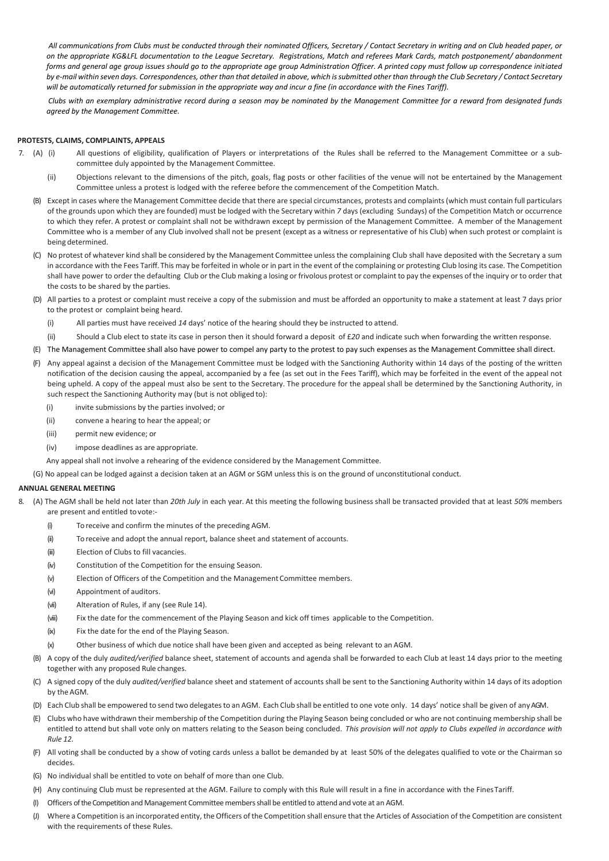*All communications from Clubs must be conducted through their nominated Officers, Secretary / Contact Secretary in writing and on Club headed paper, or on the appropriate KG&LFL documentation to the League Secretary. Registrations, Match and referees Mark Cards, match postponement/ abandonment*  forms and general age group issues should go to the appropriate age group Administration Officer. A printed copy must follow up correspondence initiated *by e-mail within seven days. Correspondences, other than that detailed in above, which is submitted other than through the Club Secretary / Contact Secretary will be automatically returned for submission in the appropriate way and incur a fine (in accordance with the Fines Tariff).*

*Clubs with an exemplary administrative record during a season may be nominated by the Management Committee for a reward from designated funds agreed by the Management Committee.*

## **PROTESTS, CLAIMS, COMPLAINTS, APPEALS**

- 7. (A) (i) All questions of eligibility, qualification of Players or interpretations of the Rules shall be referred to the Management Committee or a subcommittee duly appointed by the Management Committee.
	- (ii) Objections relevant to the dimensions of the pitch, goals, flag posts or other facilities of the venue will not be entertained by the Management Committee unless a protest is lodged with the referee before the commencement of the Competition Match.
	- (B) Except in cases where the Management Committee decide that there are special circumstances, protests and complaints (which must contain full particulars of the grounds upon which they are founded) must be lodged with the Secretary within *7* days (excluding Sundays) of the Competition Match or occurrence to which they refer. A protest or complaint shall not be withdrawn except by permission of the Management Committee. A member of the Management Committee who is a member of any Club involved shall not be present (except as a witness or representative of his Club) when such protest or complaint is being determined.
	- (C) No protest of whatever kind shall be considered by the Management Committee unlessthe complaining Club shall have deposited with the Secretary a sum in accordance with the Fees Tariff. This may be forfeited in whole or in part in the event of the complaining or protesting Club losing its case. The Competition shall have power to order the defaulting Club orthe Club making a losing or frivolous protest or complaint to pay the expenses of the inquiry or to order that the costs to be shared by the parties.
	- (D) All parties to a protest or complaint must receive a copy of the submission and must be afforded an opportunity to make a statement at least 7 days prior to the protest or complaint being heard.
		- (i) All parties must have received *14* days' notice of the hearing should they be instructed to attend.
		- (ii) Should a Club elect to state its case in person then it should forward a deposit of £*20* and indicate such when forwarding the written response.
	- (E) The Management Committee shall also have power to compel any party to the protest to pay such expenses as the Management Committee shall direct.
	- (F) Any appeal against a decision of the Management Committee must be lodged with the Sanctioning Authority within 14 days of the posting of the written notification of the decision causing the appeal, accompanied by a fee (as set out in the Fees Tariff), which may be forfeited in the event of the appeal not being upheld. A copy of the appeal must also be sent to the Secretary. The procedure for the appeal shall be determined by the Sanctioning Authority, in such respect the Sanctioning Authority may (but is not obliged to):
		- (i) invite submissions by the parties involved; or
		- (ii) convene a hearing to hear the appeal; or
		- (iii) permit new evidence; or
		- (iv) impose deadlines as are appropriate.
		- Any appeal shall not involve a rehearing of the evidence considered by the Management Committee.
	- (G) No appeal can be lodged against a decision taken at an AGM or SGM unless this is on the ground of unconstitutional conduct.

## **ANNUAL GENERAL MEETING**

- 8. (A) The AGM shall be held not later than *20th July* in each year. At this meeting the following business shall be transacted provided that at least *50%* members are present and entitled tovote:-
	- (i) To receive and confirm the minutes of the preceding AGM.
	- (ii) To receive and adopt the annual report, balance sheet and statement of accounts.
	- (iii) Election of Clubs to fill vacancies.
	- (iv) Constitution of the Competition for the ensuing Season.
	- (v) Election of Officers of the Competition and the Management Committee members.
	- (vi) Appointment of auditors.
	- (vii) Alteration of Rules, if any (see Rule 14).
	- (viii) Fix the date for the commencement of the Playing Season and kick off times applicable to the Competition.
	- (ix) Fix the date for the end of the Playing Season.
	- (x) Other business of which due notice shall have been given and accepted as being relevant to an AGM.
	- (B) A copy of the duly *audited/verified* balance sheet, statement of accounts and agenda shall be forwarded to each Club at least 14 days prior to the meeting together with any proposed Rule changes.
	- (C) A signed copy of the duly *audited/verified* balance sheet and statement of accounts shall be sent to the Sanctioning Authority within 14 days of its adoption by the AGM.
	- (D) Each Club shall be empowered to send two delegatesto an AGM. Each Club shall be entitled to one vote only. 14 days' notice shall be given of anyAGM.
	- (E) Clubs who have withdrawn their membership of the Competition during the Playing Season being concluded or who are not continuing membership shall be entitled to attend but shall vote only on matters relating to the Season being concluded. *This provision will not apply to Clubs expelled in accordance with Rule 12.*
	- (F) All voting shall be conducted by a show of voting cards unless a ballot be demanded by at least 50% of the delegates qualified to vote or the Chairman so decides.
	- (G) No individual shall be entitled to vote on behalf of more than one Club.
	- (H) Any continuing Club must be represented at the AGM. Failure to comply with this Rule will result in a fine in accordance with the FinesTariff.
	- (I) Officers of the Competition and Management Committeemembersshall be entitled to attend and vote at an AGM.
	- (J) Where a Competition is an incorporated entity, the Officers of the Competition shall ensure that the Articles of Association of the Competition are consistent with the requirements of these Rules.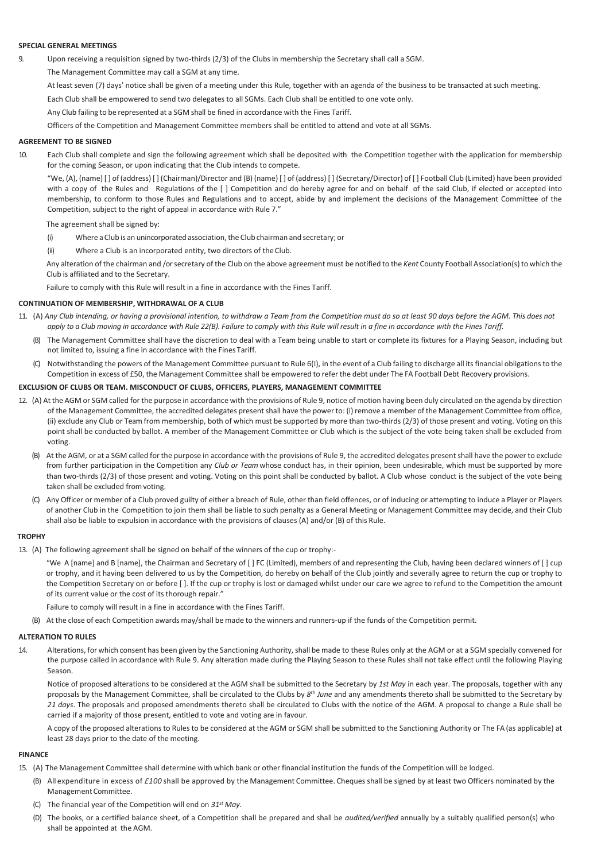#### **SPECIAL GENERAL MEETINGS**

- 9. Upon receiving a requisition signed by two-thirds (2/3) of the Clubs in membership the Secretary shall call a SGM.
	- The Management Committee may call a SGM at any time.

At least seven (7) days' notice shall be given of a meeting under this Rule, together with an agenda of the business to be transacted at such meeting.

Each Club shall be empowered to send two delegates to all SGMs. Each Club shall be entitled to one vote only.

Any Club failing to be represented at a SGM shall be fined in accordance with the Fines Tariff.

Officers of the Competition and Management Committee members shall be entitled to attend and vote at all SGMs.

## **AGREEMENT TO BE SIGNED**

10. Each Club shall complete and sign the following agreement which shall be deposited with the Competition together with the application for membership for the coming Season, or upon indicating that the Club intends to compete.

"We, (A), (name) [ ] of (address) [ ] (Chairman)/Director and (B) (name) [ ] of (address) [ ] (Secretary/Director) of [ ] Football Club (Limited) have been provided with a copy of the Rules and Regulations of the [ ] Competition and do hereby agree for and on behalf of the said Club, if elected or accepted into membership, to conform to those Rules and Regulations and to accept, abide by and implement the decisions of the Management Committee of the Competition, subject to the right of appeal in accordance with Rule 7."

The agreement shall be signed by:

- (i) Where a Club is an unincorporated association, the Club chairman and secretary; or
- (ii) Where a Club is an incorporated entity, two directors of the Club.

Any alteration of the chairman and /orsecretary of the Club on the above agreement must be notified to the *Kent* County Football Association(s) to which the Club is affiliated and to the Secretary.

Failure to comply with this Rule will result in a fine in accordance with the Fines Tariff.

### **CONTINUATION OF MEMBERSHIP, WITHDRAWAL OF A CLUB**

- 11. (A) *Any Club intending, or having a provisional intention, to withdraw a Team from the Competition must do so at least 90 days before the AGM. This does not*  apply to a Club moving in accordance with Rule 22(B). Failure to comply with this Rule will result in a fine in accordance with the Fines Tariff.
	- (B) The Management Committee shall have the discretion to deal with a Team being unable to start or complete its fixtures for a Playing Season, including but not limited to, issuing a fine in accordance with the Fines Tariff.
	- (C) Notwithstanding the powers of the Management Committee pursuant to Rule 6(I), in the event of a Club failing to discharge all itsfinancial obligationsto the Competition in excess of £50, the Management Committee shall be empowered to refer the debt under The FA Football Debt Recovery provisions.

## **EXCLUSION OF CLUBS OR TEAM. MISCONDUCT OF CLUBS, OFFICERS, PLAYERS, MANAGEMENT COMMITTEE**

- 12. (A) At the AGM or SGM called for the purpose in accordance with the provisions of Rule 9, notice of motion having been duly circulated on the agenda by direction of the Management Committee, the accredited delegates present shall have the power to: (i) remove a member of the Management Committee from office, (ii) exclude any Club or Team from membership, both of which must be supported by more than two-thirds (2/3) of those present and voting. Voting on this point shall be conducted by ballot. A member of the Management Committee or Club which is the subject of the vote being taken shall be excluded from voting.
	- (B) At the AGM, or at a SGM called for the purpose in accordance with the provisions of Rule 9, the accredited delegates present shall have the power to exclude from further participation in the Competition any *Club or Team* whose conduct has, in their opinion, been undesirable, which must be supported by more than two-thirds (2/3) of those present and voting. Voting on this point shall be conducted by ballot. A Club whose conduct is the subject of the vote being taken shall be excluded fromvoting.
	- (C) Any Officer or member of a Club proved guilty of either a breach of Rule, other than field offences, or of inducing or attempting to induce a Player or Players of another Club in the Competition to join them shall be liable to such penalty as a General Meeting or Management Committee may decide, and their Club shall also be liable to expulsion in accordance with the provisions of clauses (A) and/or (B) of this Rule.

#### **TROPHY**

13. (A) The following agreement shall be signed on behalf of the winners of the cup or trophy:-

"We A [name] and B [name], the Chairman and Secretary of [ ] FC (Limited), members of and representing the Club, having been declared winners of [ ] cup or trophy, and it having been delivered to us by the Competition, do hereby on behalf of the Club jointly and severally agree to return the cup or trophy to the Competition Secretary on or before [ ]. If the cup or trophy is lost or damaged whilst under our care we agree to refund to the Competition the amount of its current value or the cost of its thorough repair."

Failure to comply will result in a fine in accordance with the Fines Tariff.

(B) At the close of each Competition awards may/shall be made to the winners and runners-up if the funds of the Competition permit.

#### **ALTERATION TO RULES**

14. Alterations, for which consent has been given by the Sanctioning Authority,shall be made to these Rules only at the AGM or at a SGM specially convened for the purpose called in accordance with Rule 9. Any alteration made during the Playing Season to these Rules shall not take effect until the following Playing Season.

Notice of proposed alterations to be considered at the AGM shall be submitted to the Secretary by *1st May* in each year. The proposals, together with any proposals by the Management Committee, shall be circulated to the Clubs by 8<sup>th</sup> June and any amendments thereto shall be submitted to the Secretary by *21 days*. The proposals and proposed amendments thereto shall be circulated to Clubs with the notice of the AGM. A proposal to change a Rule shall be carried if a majority of those present, entitled to vote and voting are in favour.

A copy of the proposed alterations to Rules to be considered at the AGM or SGM shall be submitted to the Sanctioning Authority or The FA (as applicable) at least 28 days prior to the date of the meeting.

## **FINANCE**

- 15. (A) The Management Committee shall determine with which bank or other financial institution the funds of the Competition will be lodged.
	- (B) All expenditure in excess of *£100* shall be approved by the Management Committee. Cheques shall be signed by at least two Officers nominated by the ManagementCommittee.
	- (C) The financial year of the Competition will end on *31st May.*
	- (D) The books, or a certified balance sheet, of a Competition shall be prepared and shall be *audited/verified* annually by a suitably qualified person(s) who shall be appointed at the AGM.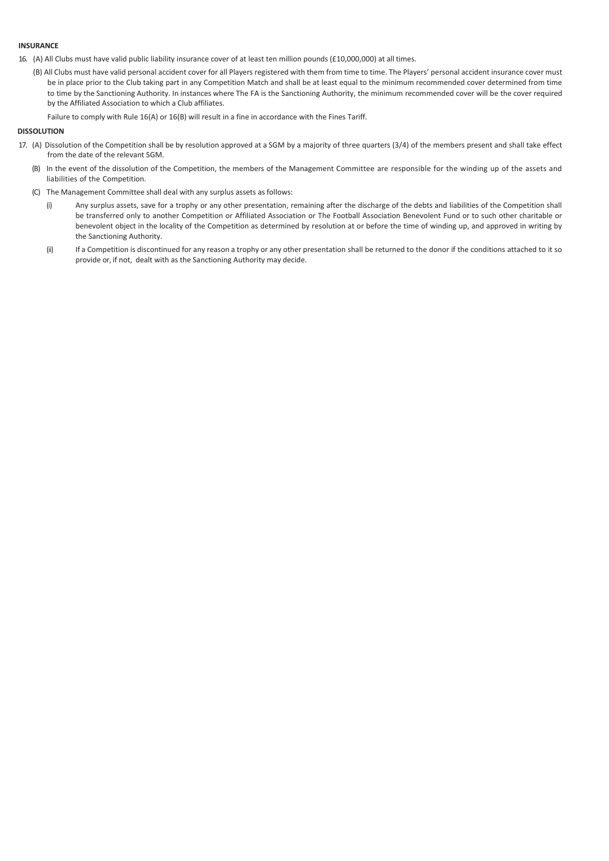## **INSURANCE**

- 16. (A) All Clubs must have valid public liability insurance cover of at least ten million pounds (£10,000,000) at all times.
	- (B) All Clubs must have valid personal accident cover for all Players registered with them from time to time. The Players' personal accident insurance cover must be in place prior to the Club taking part in any Competition Match and shall be at least equal to the minimum recommended cover determined from time to time by the Sanctioning Authority. In instances where The FA is the Sanctioning Authority, the minimum recommended cover will be the cover required by the Affiliated Association to which a Club affiliates.
		- Failure to comply with Rule 16(A) or 16(B) will result in a fine in accordance with the Fines Tariff.

## **DISSOLUTION**

- 17. (A) Dissolution of the Competition shall be by resolution approved at a SGM by a majority of three quarters (3/4) of the members present and shall take effect from the date of the relevant SGM.
	- (B) In the event of the dissolution of the Competition, the members of the Management Committee are responsible for the winding up of the assets and liabilities of the Competition.
	- (C) The Management Committee shall deal with any surplus assets as follows:
		- (i) Any surplus assets, save for a trophy or any other presentation, remaining after the discharge of the debts and liabilities of the Competition shall be transferred only to another Competition or Affiliated Association or The Football Association Benevolent Fund or to such other charitable or benevolent object in the locality of the Competition as determined by resolution at or before the time of winding up, and approved in writing by the Sanctioning Authority.
		- (ii) If a Competition is discontinued for any reason a trophy or any other presentation shall be returned to the donor if the conditions attached to it so provide or, if not, dealt with as the Sanctioning Authority may decide.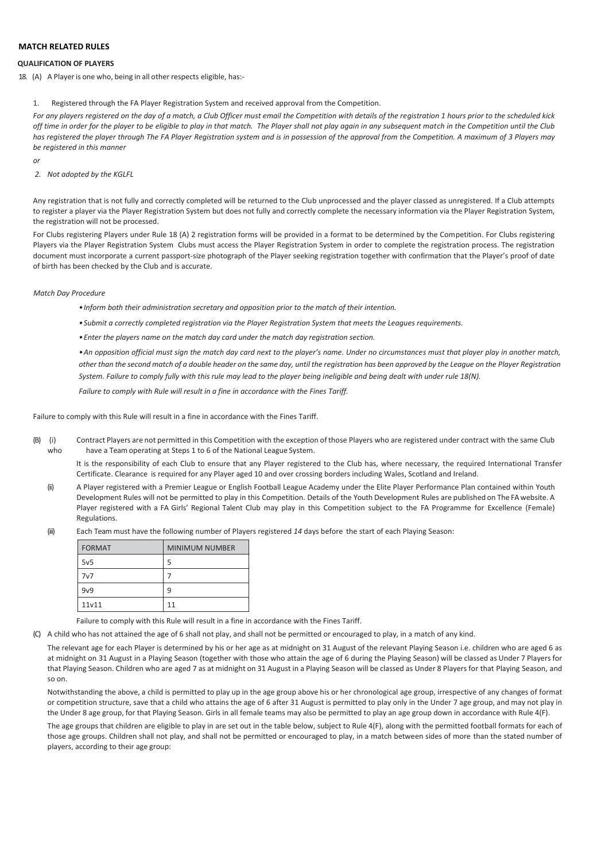# **MATCH RELATED RULES**

# **QUALIFICATION OF PLAYERS**

18. (A) A Player is one who, being in all other respects eligible, has:-

1. Registered through the FA Player Registration System and received approval from the Competition.

*For any players registered on the day of a match, a Club Officer must email the Competition with details of the registration 1 hours prior to the scheduled kick off time in order for the player to be eligible to play in that match. The Player shall not play again in any subsequent match in the Competition until the Club has registered the player through The FA Player Registration system and is in possession of the approval from the Competition. A maximum of 3 Players may be registered in this manner*

*or*

# *2. Not adopted by the KGLFL*

Any registration that is not fully and correctly completed will be returned to the Club unprocessed and the player classed as unregistered. If a Club attempts to register a player via the Player Registration System but does not fully and correctly complete the necessary information via the Player Registration System, the registration will not be processed.

For Clubs registering Players under Rule 18 (A) 2 registration forms will be provided in a format to be determined by the Competition. For Clubs registering Players via the Player Registration System Clubs must access the Player Registration System in order to complete the registration process. The registration document must incorporate a current passport-size photograph of the Player seeking registration together with confirmation that the Player's proof of date of birth has been checked by the Club and is accurate.

### *Match Day Procedure*

- *•Inform both their administration secretary and opposition prior to the match of their intention.*
- *•Submit a correctly completed registration via the Player Registration System that meets the Leagues requirements.*
- *•Enter the players name on the match day card under the match day registration section.*

*•An opposition official must sign the match day card next to the player's name. Under no circumstances must that player play in another match, other than the second match of a double header on the same day, until the registration has been approved by the League on the Player Registration System. Failure to comply fully with this rule may lead to the player being ineligible and being dealt with under rule 18(N).*

*Failure to comply with Rule will result in a fine in accordance with the Fines Tariff.*

Failure to comply with this Rule will result in a fine in accordance with the Fines Tariff.

(B) (i) Contract Players are not permitted in this Competition with the exception of those Players who are registered under contract with the same Club who have a Team operating at Steps 1 to 6 of the National League System.

It is the responsibility of each Club to ensure that any Player registered to the Club has, where necessary, the required International Transfer Certificate. Clearance is required for any Player aged 10 and over crossing borders including Wales, Scotland and Ireland.

- (ii) A Player registered with a Premier League or English Football League Academy under the Elite Player Performance Plan contained within Youth Development Rules will not be permitted to play in this Competition. Details of the Youth Development Rules are published on The FAwebsite. A Player registered with a FA Girls' Regional Talent Club may play in this Competition subject to the FA Programme for Excellence (Female) Regulations.
- (iii) Each Team must have the following number of Players registered *14* days before the start of each Playing Season:

| <b>FORMAT</b>   | <b>MINIMUM NUMBER</b> |
|-----------------|-----------------------|
| 5v <sub>5</sub> | 5                     |
| 7v7             |                       |
| 9v9             | q                     |
| 11v11           | 11                    |

Failure to comply with this Rule will result in a fine in accordance with the Fines Tariff.

(C) A child who has not attained the age of 6 shall not play, and shall not be permitted or encouraged to play, in a match of any kind.

The relevant age for each Player is determined by his or her age as at midnight on 31 August of the relevant Playing Season i.e. children who are aged 6 as at midnight on 31 August in a Playing Season (together with those who attain the age of 6 during the Playing Season) will be classed as Under 7 Players for that Playing Season. Children who are aged 7 as at midnight on 31 August in a Playing Season will be classed as Under 8 Players for that Playing Season, and so on.

Notwithstanding the above, a child is permitted to play up in the age group above his or her chronological age group, irrespective of any changes of format or competition structure, save that a child who attains the age of 6 after 31 August is permitted to play only in the Under 7 age group, and may not play in the Under 8 age group, for that Playing Season. Girls in all female teams may also be permitted to play an age group down in accordance with Rule 4(F).

The age groups that children are eligible to play in are set out in the table below, subject to Rule 4(F), along with the permitted football formats for each of those age groups. Children shall not play, and shall not be permitted or encouraged to play, in a match between sides of more than the stated number of players, according to their age group: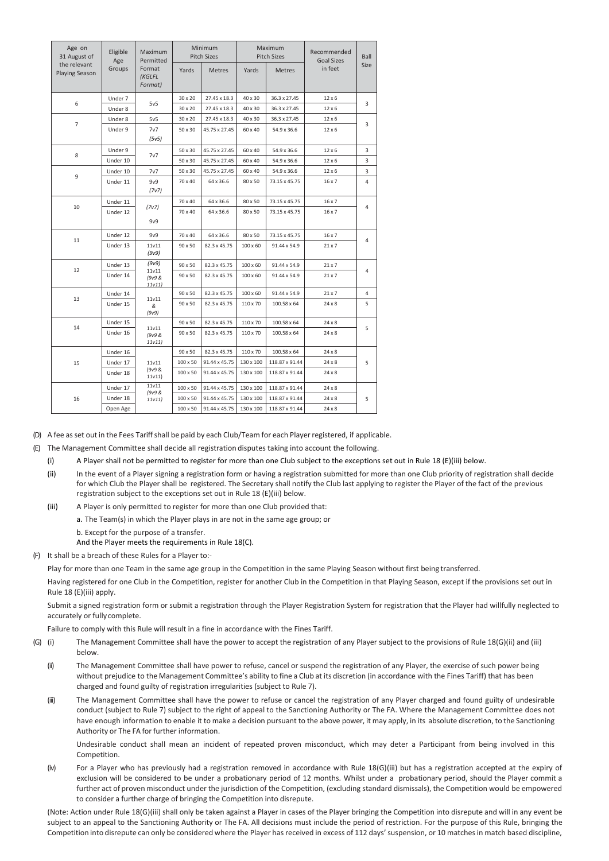| Age on<br>Eligible<br>31 August of<br>Age |          | Maximum<br>Permitted        |                 | Minimum<br><b>Pitch Sizes</b>           |                 | Maximum<br><b>Pitch Sizes</b> | Recommended<br><b>Goal Sizes</b> | Ball |
|-------------------------------------------|----------|-----------------------------|-----------------|-----------------------------------------|-----------------|-------------------------------|----------------------------------|------|
| the relevant<br><b>Playing Season</b>     | Groups   | Format<br>(KGLFL<br>Format) | Yards           | <b>Metres</b><br>Yards<br><b>Metres</b> |                 | in feet                       | <b>Size</b>                      |      |
| 6                                         | Under 7  | 5v5                         | 30 x 20         | 27.45 x 18.3                            | 40 x 30         | 36.3 x 27.45                  | $12 \times 6$                    | 3    |
|                                           | Under 8  |                             | 30 x 20         | 27.45 x 18.3                            | 40 x 30         | 36.3 x 27.45                  | $12 \times 6$                    |      |
| $\overline{7}$                            | Under 8  | 5v5                         | 30 x 20         | 27.45 x 18.3                            | 40 x 30         | 36.3 x 27.45                  | 12 x 6                           | 3    |
|                                           | Under 9  | 7v7<br>(5v5)                | 50 x 30         | 45.75 x 27.45                           | 60 x 40         | 54.9 x 36.6                   | $12 \times 6$                    |      |
| 8                                         | Under 9  |                             | 50 x 30         | 45.75 x 27.45                           | 60 x 40         | 54.9 x 36.6                   | $12 \times 6$                    | 3    |
|                                           | Under 10 | 7v7                         | 50 x 30         | 45.75 x 27.45                           | 60 x 40         | 54.9 x 36.6                   | 12 x 6                           | 3    |
| 9                                         | Under 10 | 7v7                         | 50 x 30         | 45.75 x 27.45                           | 60 x 40         | 54.9 x 36.6                   | $12 \times 6$                    | 3    |
|                                           | Under 11 | 9v9<br>(7v7)                | 70 x 40         | 64 x 36.6                               | 80 x 50         | 73.15 x 45.75                 | 16 x 7                           | 4    |
|                                           | Under 11 |                             | 70 x 40         | 64 x 36.6                               | 80 x 50         | 73.15 x 45.75                 | 16 x 7                           |      |
| 10                                        | Under 12 | (7v7)<br>9v9                | 70 x 40         | 64 x 36.6                               | 80 x 50         | 73.15 x 45.75                 | 16 x 7                           | 4    |
|                                           | Under 12 | 9v9                         | 70 x 40         | 64 x 36.6                               | 80 x 50         | 73.15 x 45.75                 | $16 \times 7$                    |      |
| 11                                        | Under 13 | 11v11<br>(9v9)              | 90 x 50         | 82.3 x 45.75                            | $100 \times 60$ | 91.44 x 54.9                  | $21 \times 7$                    | 4    |
|                                           | Under 13 | (9v9)                       | 90 x 50         | 82.3 x 45.75                            | $100 \times 60$ | 91.44 x 54.9                  | $21 \times 7$                    |      |
| 12                                        | Under 14 | 11v11<br>(9v9 &<br>11v11)   | 90 x 50         | 82.3 x 45.75                            | $100 \times 60$ | 91.44 x 54.9                  | $21 \times 7$                    | 4    |
|                                           | Under 14 |                             | 90 x 50         | 82.3 x 45.75                            | $100 \times 60$ | 91.44 x 54.9                  | $21 \times 7$                    | 4    |
| 13                                        | Under 15 | 11v11<br>&<br>(9v9)         | 90 x 50         | 82.3 x 45.75                            | 110 x 70        | 100.58 x 64                   | $24 \times 8$                    | 5    |
|                                           | Under 15 |                             | 90 x 50         | 82.3 x 45.75                            | 110 x 70        | 100.58 x 64                   | 24 x 8                           |      |
| 14                                        | Under 16 | 11v11<br>(9v9 &<br>11v11)   | 90 x 50         | 82.3 x 45.75                            | 110 x 70        | 100.58 x 64                   | 24 x 8                           | 5    |
|                                           | Under 16 |                             | 90 x 50         | 82.3 x 45.75                            | 110 x 70        | 100.58 x 64                   | $24 \times 8$                    |      |
| 15                                        | Under 17 | 11v11                       | 100 x 50        | 91.44 x 45.75                           | 130 x 100       | 118.87 x 91.44                | $24 \times 8$                    | 5    |
|                                           | Under 18 | (9v9 &<br>11v11)            | $100 \times 50$ | 91.44 x 45.75                           | 130 x 100       | 118.87 x 91.44                | $24 \times 8$                    |      |
|                                           | Under 17 | 11v11<br>(9v9 &             | $100 \times 50$ | 91.44 x 45.75                           | 130 x 100       | 118.87 x 91.44                | $24 \times 8$                    |      |
| 16                                        | Under 18 | 11v11)                      | $100 \times 50$ | 91.44 x 45.75                           | 130 x 100       | 118.87 x 91.44                | $24 \times 8$                    | 5    |
|                                           | Open Age |                             | $100 \times 50$ | 91.44 x 45.75                           | 130 x 100       | 118.87 x 91.44                | $24 \times 8$                    |      |

(D) A fee asset out in the Fees Tariffshall be paid by each Club/Team for each Player registered, if applicable.

(E) The Management Committee shall decide all registration disputes taking into account the following.

(i) A Player shall not be permitted to register for more than one Club subject to the exceptions set out in Rule 18 (E)(iii) below.

(ii) In the event of a Player signing a registration form or having a registration submitted for more than one Club priority of registration shall decide for which Club the Player shall be registered. The Secretary shall notify the Club last applying to register the Player of the fact of the previous registration subject to the exceptions set out in Rule 18 (E)(iii) below.

- (iii) A Player is only permitted to register for more than one Club provided that:
	- a. The Team(s) in which the Player plays in are not in the same age group; or

b. Except for the purpose of a transfer.

And the Player meets the requirements in Rule 18(C).

(F) It shall be a breach of these Rules for a Player to:-

Play for more than one Team in the same age group in the Competition in the same Playing Season without first being transferred.

Having registered for one Club in the Competition, register for another Club in the Competition in that Playing Season, except if the provisions set out in Rule 18 (E)(iii) apply.

Submit a signed registration form or submit a registration through the Player Registration System for registration that the Player had willfully neglected to accurately or fully complete.

Failure to comply with this Rule will result in a fine in accordance with the Fines Tariff.

- (G) (i) The Management Committee shall have the power to accept the registration of any Player subject to the provisions of Rule 18(G)(ii) and (iii) below.
	- (ii) The Management Committee shall have power to refuse, cancel or suspend the registration of any Player, the exercise of such power being without prejudice to the Management Committee's ability to fine a Club at its discretion (in accordance with the Fines Tariff) that has been charged and found guilty of registration irregularities (subject to Rule 7).
	- (iii) The Management Committee shall have the power to refuse or cancel the registration of any Player charged and found guilty of undesirable conduct (subject to Rule 7) subject to the right of appeal to the Sanctioning Authority or The FA. Where the Management Committee does not have enough information to enable it to make a decision pursuant to the above power, it may apply, in its absolute discretion, to the Sanctioning Authority or The FA for further information.

Undesirable conduct shall mean an incident of repeated proven misconduct, which may deter a Participant from being involved in this Competition.

(iv) For a Player who has previously had a registration removed in accordance with Rule 18(G)(iii) but has a registration accepted at the expiry of exclusion will be considered to be under a probationary period of 12 months. Whilst under a probationary period, should the Player commit a further act of proven misconduct under the jurisdiction of the Competition, (excluding standard dismissals), the Competition would be empowered to consider a further charge of bringing the Competition into disrepute.

(Note: Action under Rule 18(G)(iii) shall only be taken against a Player in cases of the Player bringing the Competition into disrepute and will in any event be subject to an appeal to the Sanctioning Authority or The FA. All decisions must include the period of restriction. For the purpose of this Rule, bringing the Competition into disrepute can only be considered where the Player has received in excess of 112 days' suspension, or 10 matches in match based discipline,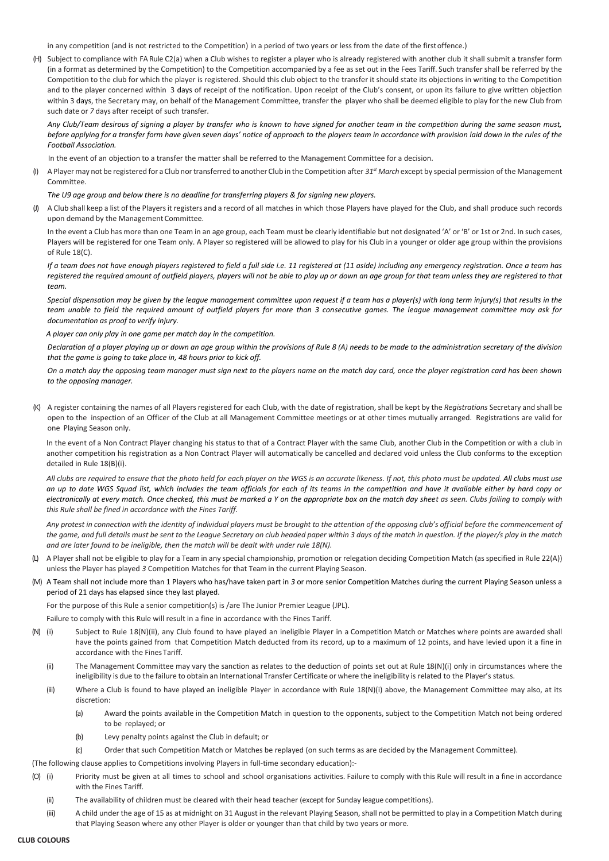in any competition (and is not restricted to the Competition) in a period of two years or less from the date of the firstoffence.)

(H) Subject to compliance with FA Rule C2(a) when a Club wishes to register a player who is already registered with another club it shall submit a transfer form (in a format as determined by the Competition) to the Competition accompanied by a fee as set out in the Fees Tariff. Such transfer shall be referred by the Competition to the club for which the player is registered. Should this club object to the transfer it should state its objections in writing to the Competition and to the player concerned within 3 days of receipt of the notification. Upon receipt of the Club's consent, or upon its failure to give written objection within 3 days, the Secretary may, on behalf of the Management Committee, transfer the player who shall be deemed eligible to play for the new Club from such date or *7* days after receipt of such transfer.

*Any Club/Team desirous of signing a player by transfer who is known to have signed for another team in the competition during the same season must, before applying for a transfer form have given seven days' notice of approach to the players team in accordance with provision laid down in the rules of the Football Association.*

In the event of an objection to a transfer the matter shall be referred to the Management Committee for a decision.

(I) A Playermay not be registered for a Club nortransferred to another Club in the Competition after *31st March* except by special permission of the Management Committee.

## *The U9 age group and below there is no deadline for transferring players & for signing new players.*

(J) A Club shall keep a list of the Playersit registers and a record of all matches in which those Players have played for the Club, and shall produce such records upon demand by the Management Committee.

In the event a Club has more than one Team in an age group, each Team must be clearly identifiable but not designated 'A' or 'B' or 1st or 2nd. In such cases, Players will be registered for one Team only. A Player so registered will be allowed to play for his Club in a younger or older age group within the provisions of Rule 18(C).

*If a team does not have enough players registered to field a full side i.e. 11 registered at (11 aside) including any emergency registration. Once a team has registered the required amount of outfield players, players will not be able to play up or down an age group for that team unless they are registered to that team.* 

*Special dispensation may be given by the league management committee upon request if a team has a player(s) with long term injury(s) that results in the team unable to field the required amount of outfield players for more than 3 consecutive games. The league management committee may ask for documentation as proof to verify injury.*

 *A player can only play in one game per match day in the competition.*

*Declaration of a player playing up or down an age group within the provisions of Rule 8 (A) needs to be made to the administration secretary of the division that the game is going to take place in, 48 hours prior to kick off.* 

*On a match day the opposing team manager must sign next to the players name on the match day card, once the player registration card has been shown to the opposing manager.*

(K) A register containing the names of all Players registered for each Club, with the date of registration, shall be kept by the *Registrations* Secretary and shall be open to the inspection of an Officer of the Club at all Management Committee meetings or at other times mutually arranged. Registrations are valid for one Playing Season only.

In the event of a Non Contract Player changing his status to that of a Contract Player with the same Club, another Club in the Competition or with a club in another competition his registration as a Non Contract Player will automatically be cancelled and declared void unless the Club conforms to the exception detailed in Rule 18(B)(i).

*All clubs are required to ensure that the photo held for each player on the WGS is an accurate likeness. If not, this photo must be updated. All clubs must use an up to date WGS Squad list, which includes the team officials for each of its teams in the competition and have it available either by hard copy or electronically at every match. Once checked, this must be marked a Y on the appropriate box on the match day sheet as seen. Clubs failing to comply with this Rule shall be fined in accordance with the Fines Tariff.*

*Any protest in connection with the identity of individual players must be brought to the attention of the opposing club's official before the commencement of the game, and full details must be sent to the League Secretary on club headed paper within 3 days of the match in question. If the player/s play in the match and are later found to be ineligible, then the match will be dealt with under rule 18(N).*

- (L) A Player shall not be eligible to play for a Team in any special championship, promotion or relegation deciding Competition Match (as specified in Rule 22(A)) unless the Player has played *3* Competition Matches for that Team in the current Playing Season.
- (M) A Team shall not include more than 1 Players who has/have taken part in *3* or more senior Competition Matches during the current Playing Season unless a period of 21 days has elapsed since they last played.

For the purpose of this Rule a senior competition(s) is /are The Junior Premier League (JPL).

Failure to comply with this Rule will result in a fine in accordance with the Fines Tariff.

- (N) (i) Subject to Rule 18(N)(ii), any Club found to have played an ineligible Player in a Competition Match or Matches where points are awarded shall have the points gained from that Competition Match deducted from its record, up to a maximum of 12 points, and have levied upon it a fine in accordance with the FinesTariff.
	- (ii) The Management Committee may vary the sanction as relates to the deduction of points set out at Rule 18(N)(i) only in circumstances where the ineligibility is due to the failure to obtain an International Transfer Certificate or where the ineligibility is related to the Player's status.
	- (iii) Where a Club is found to have played an ineligible Player in accordance with Rule 18(N)(i) above, the Management Committee may also, at its discretion:
		- (a) Award the points available in the Competition Match in question to the opponents, subject to the Competition Match not being ordered to be replayed; or
		- (b) Levy penalty points against the Club in default; or
		- (c) Order that such Competition Match or Matches be replayed (on such terms as are decided by the Management Committee).
- (The following clause applies to Competitions involving Players in full-time secondary education):-
- (O) (i) Priority must be given at all times to school and school organisations activities. Failure to comply with this Rule will result in a fine in accordance with the Fines Tariff.
	- (ii) The availability of children must be cleared with their head teacher (except for Sunday league competitions).
	- (iii) A child under the age of 15 as at midnight on 31 August in the relevant Playing Season, shall not be permitted to play in a Competition Match during that Playing Season where any other Player is older or younger than that child by two years or more.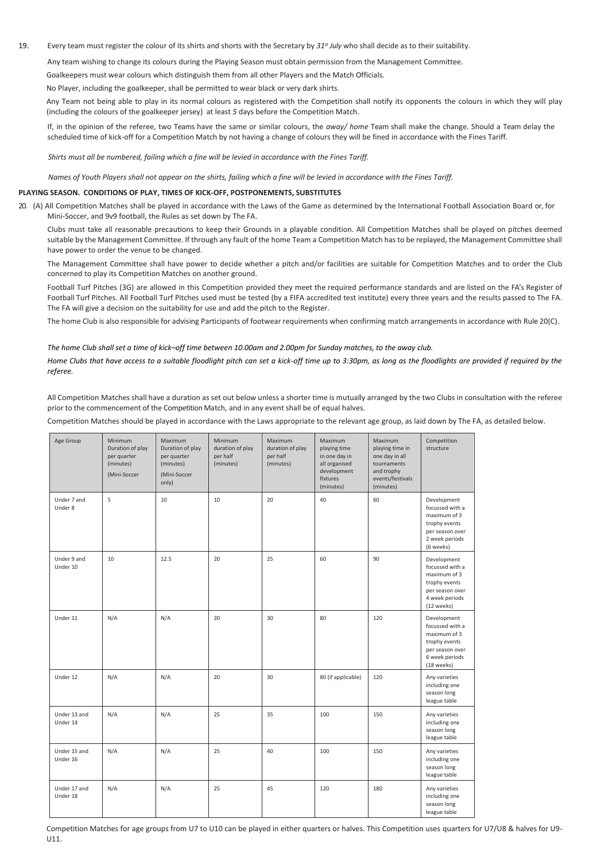## 19. Every team must register the colour of its shirts and shorts with the Secretary by *31st July* who shall decide as to their suitability.

Any team wishing to change its colours during the Playing Season must obtain permission from the Management Committee.

Goalkeepers must wear colours which distinguish them from all other Players and the Match Officials.

No Player, including the goalkeeper, shall be permitted to wear black or very dark shirts.

Any Team not being able to play in its normal colours as registered with the Competition shall notify its opponents the colours in which they will play (including the colours of the goalkeeper jersey) at least *5* days before the Competition Match.

If, in the opinion of the referee, two Teams have the same or similar colours, the *away/ home* Team shall make the change. Should a Team delay the scheduled time of kick-off for a Competition Match by not having a change of colours they will be fined in accordance with the Fines Tariff.

*Shirts must all be numbered, failing which a fine will be levied in accordance with the Fines Tariff.*

*Names of Youth Players shall not appear on the shirts, failing which a fine will be levied in accordance with the Fines Tariff.*

#### **PLAYING SEASON. CONDITIONS OF PLAY, TIMES OF KICK-OFF, POSTPONEMENTS, SUBSTITUTES**

20. (A) All Competition Matches shall be played in accordance with the Laws of the Game as determined by the International Football Association Board or, for Mini-Soccer, and 9v9 football, the Rules as set down by The FA.

Clubs must take all reasonable precautions to keep their Grounds in a playable condition. All Competition Matches shall be played on pitches deemed suitable by the Management Committee. If through any fault of the home Team a Competition Match has to be replayed, the Management Committee shall have power to order the venue to be changed.

The Management Committee shall have power to decide whether a pitch and/or facilities are suitable for Competition Matches and to order the Club concerned to play its Competition Matches on another ground.

Football Turf Pitches (3G) are allowed in this Competition provided they meet the required performance standards and are listed on the FA's Register of Football Turf Pitches. All Football Turf Pitches used must be tested (by a FIFA accredited test institute) every three years and the results passed to The FA. The FA will give a decision on the suitability for use and add the pitch to the Register.

The home Club is also responsible for advising Participants of footwear requirements when confirming match arrangements in accordance with Rule 20(C).

#### *The home Club shall set a time of kick–off time between 10.00am and 2.00pm for Sunday matches, to the away club.*

*Home Clubs that have access to a suitable floodlight pitch can set a kick-off time up to 3:30pm, as long as the floodlights are provided if required by the referee.*

All Competition Matches shall have a duration as set out below unless a shorter time is mutually arranged by the two Clubs in consultation with the referee prior to the commencement of the Competition Match, and in any event shall be of equal halves.

Competition Matches should be played in accordance with the Laws appropriate to the relevant age group, as laid down by The FA, as detailed below.

| Age Group                | Minimum<br>Duration of play<br>per quarter<br>(minutes)<br>(Mini-Soccer | Maximum<br>Duration of play<br>per quarter<br>(minutes)<br>(Mini-Soccer<br>only) | Minimum<br>duration of play<br>per half<br>(minutes) | Maximum<br>duration of play<br>per half<br>(minutes) | <b>Maximum</b><br>playing time<br>in one day in<br>all organised<br>development<br>fixtures<br>(minutes) | Maximum<br>playing time in<br>one day in all<br>tournaments<br>and trophy<br>events/festivals<br>(minutes) | Competition<br>structure                                                                                           |
|--------------------------|-------------------------------------------------------------------------|----------------------------------------------------------------------------------|------------------------------------------------------|------------------------------------------------------|----------------------------------------------------------------------------------------------------------|------------------------------------------------------------------------------------------------------------|--------------------------------------------------------------------------------------------------------------------|
| Under 7 and<br>Under 8   | 5                                                                       | 10                                                                               | 10                                                   | 20                                                   | 40                                                                                                       | 60                                                                                                         | Development<br>focussed with a<br>maximum of 3<br>trophy events<br>per season over<br>2 week periods<br>(6 weeks)  |
| Under 9 and<br>Under 10  | 10                                                                      | 12.5                                                                             | 20                                                   | 25                                                   | 60                                                                                                       | 90                                                                                                         | Development<br>focussed with a<br>maximum of 3<br>trophy events<br>per season over<br>4 week periods<br>(12 weeks) |
| Under 11                 | N/A                                                                     | N/A                                                                              | 20                                                   | 30                                                   | 80                                                                                                       | 120                                                                                                        | Development<br>focussed with a<br>maximum of 3<br>trophy events<br>per season over<br>6 week periods<br>(18 weeks) |
| Under 12                 | N/A                                                                     | N/A                                                                              | 20                                                   | 30                                                   | 80 (if applicable)                                                                                       | 120                                                                                                        | Any varieties<br>including one<br>season long<br>league table                                                      |
| Under 13 and<br>Under 14 | N/A                                                                     | N/A                                                                              | 25                                                   | 35                                                   | 100                                                                                                      | 150                                                                                                        | Any varieties<br>including one<br>season long<br>league table                                                      |
| Under 15 and<br>Under 16 | N/A                                                                     | N/A                                                                              | 25                                                   | 40                                                   | 100                                                                                                      | 150                                                                                                        | Any varieties<br>including one<br>season long<br>league table                                                      |
| Under 17 and<br>Under 18 | N/A                                                                     | N/A                                                                              | 25                                                   | 45                                                   | 120                                                                                                      | 180                                                                                                        | Any varieties<br>including one<br>season long<br>league table                                                      |

Competition Matches for age groups from U7 to U10 can be played in either quarters or halves. This Competition uses quarters for U7/U8 & halves for U9- U11.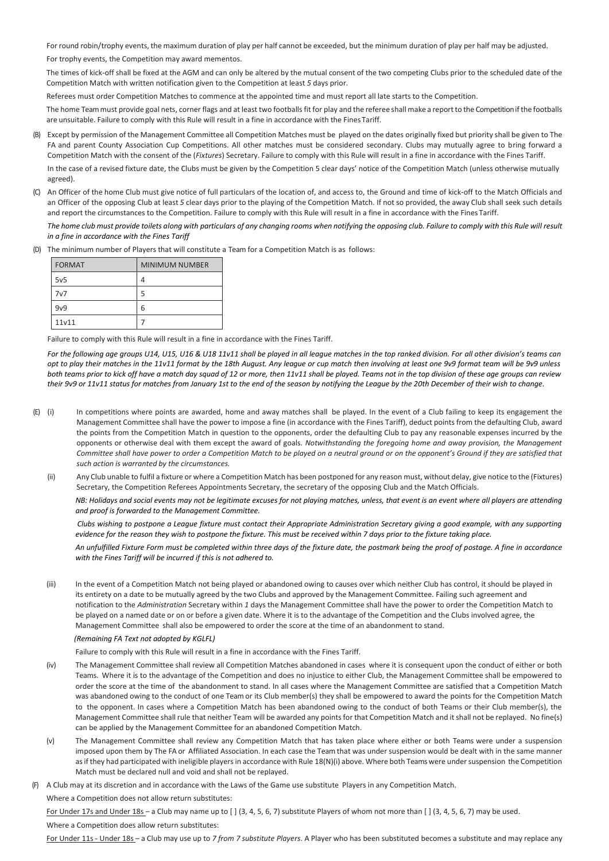Forround robin/trophy events, the maximum duration of play per half cannot be exceeded, but the minimum duration of play per half may be adjusted.

For trophy events, the Competition may award mementos.

The times of kick-off shall be fixed at the AGM and can only be altered by the mutual consent of the two competing Clubs prior to the scheduled date of the Competition Match with written notification given to the Competition at least *5* days prior.

Referees must order Competition Matches to commence at the appointed time and must report all late starts to the Competition.

The home Team must provide goal nets, corner flags and at least two footballs fit for play and the referee shall make a report to the Competition if the footballs are unsuitable. Failure to comply with this Rule will result in a fine in accordance with the Fines Tariff.

(B) Except by permission of the Management Committee all Competition Matches must be played on the dates originally fixed but priority shall be given to The FA and parent County Association Cup Competitions. All other matches must be considered secondary. Clubs may mutually agree to bring forward a Competition Match with the consent of the (*Fixtures*) Secretary. Failure to comply with this Rule will result in a fine in accordance with the Fines Tariff.

In the case of a revised fixture date, the Clubs must be given by the Competition 5 clear days' notice of the Competition Match (unless otherwise mutually agreed).

(C) An Officer of the home Club must give notice of full particulars of the location of, and access to, the Ground and time of kick-off to the Match Officials and an Officer of the opposing Club at least *5* clear days prior to the playing of the Competition Match. If not so provided, the away Club shall seek such details and report the circumstances to the Competition. Failure to comply with this Rule will result in a fine in accordance with the Fines Tariff.

*The home club must provide toilets along with particulars of any changing rooms when notifying the opposing club. Failure to comply with this Rule will result in a fine in accordance with the Fines Tariff*

(D) The minimum number of Players that will constitute a Team for a Competition Match is as follows:

| <b>FORMAT</b> | <b>MINIMUM NUMBER</b> |
|---------------|-----------------------|
| 5v5           |                       |
| 7v7           |                       |
| 9v9           | 6                     |
| 11v11         |                       |

Failure to comply with this Rule will result in a fine in accordance with the Fines Tariff.

*For the following age groups U14, U15, U16 & U18 11v11 shall be played in all league matches in the top ranked division. For all other division's teams can opt to play their matches in the 11v11 format by the 18th August. Any league or cup match then involving at least one 9v9 format team will be 9v9 unless both teams prior to kick off have a match day squad of 12 or more, then 11v11 shall be played. Teams not in the top division of these age groups can review their 9v9 or 11v11 status for matches from January 1st to the end of the season by notifying the League by the 20th December of their wish to change.*

- (E) (i) In competitions where points are awarded, home and away matches shall be played. In the event of a Club failing to keep its engagement the Management Committee shall have the power to impose a fine (in accordance with the Fines Tariff), deduct points from the defaulting Club, award the points from the Competition Match in question to the opponents, order the defaulting Club to pay any reasonable expenses incurred by the opponents or otherwise deal with them except the award of goals. *Notwithstanding the foregoing home and away provision, the Management*  Committee shall have power to order a Competition Match to be played on a neutral ground or on the opponent's Ground if they are satisfied that *such action is warranted by the circumstances.*
	- (ii) Any Club unable to fulfil a fixture or where a Competition Match has been postponed for any reason must, without delay, give notice to the (Fixtures) Secretary, the Competition Referees Appointments Secretary, the secretary of the opposing Club and the Match Officials.

*NB: Holidays and social events may not be legitimate excuses for not playing matches, unless, that event is an event where all players are attending and proof is forwarded to the Management Committee.*

*Clubs wishing to postpone a League fixture must contact their Appropriate Administration Secretary giving a good example, with any supporting evidence for the reason they wish to postpone the fixture. This must be received within 7 days prior to the fixture taking place.* 

*An unfulfilled Fixture Form must be completed within three days of the fixture date, the postmark being the proof of postage. A fine in accordance with the Fines Tariff will be incurred if this is not adhered to.*

(iii) In the event of a Competition Match not being played or abandoned owing to causes over which neither Club has control, it should be played in its entirety on a date to be mutually agreed by the two Clubs and approved by the Management Committee. Failing such agreement and notification to the *Administration* Secretary within *1* days the Management Committee shall have the power to order the Competition Match to be played on a named date or on or before a given date. Where it is to the advantage of the Competition and the Clubs involved agree, the Management Committee shall also be empowered to order the score at the time of an abandonment to stand.

#### *(Remaining FA Text not adopted by KGLFL)*

Failure to comply with this Rule will result in a fine in accordance with the Fines Tariff.

- (iv) The Management Committee shall review all Competition Matches abandoned in cases where it is consequent upon the conduct of either or both Teams. Where it is to the advantage of the Competition and does no injustice to either Club, the Management Committee shall be empowered to order the score at the time of the abandonment to stand. In all cases where the Management Committee are satisfied that a Competition Match was abandoned owing to the conduct of one Team or its Club member(s) they shall be empowered to award the points for the Competition Match to the opponent. In cases where a Competition Match has been abandoned owing to the conduct of both Teams or their Club member(s), the Management Committee shall rule that neither Team will be awarded any points for that Competition Match and it shall not be replayed. No fine(s) can be applied by the Management Committee for an abandoned Competition Match.
- (v) The Management Committee shall review any Competition Match that has taken place where either or both Teams were under a suspension imposed upon them by The FA or Affiliated Association. In each case the Team that was under suspension would be dealt with in the same manner as if they had participated with ineligible players in accordance with Rule 18(N)(i) above. Where both Teams were under suspension the Competition Match must be declared null and void and shall not be replayed.
- (F) A Club may at its discretion and in accordance with the Laws of the Game use substitute Players in any Competition Match. Where a Competition does not allow return substitutes:

For Under 17s and Under 18s - a Club may name up to [] (3, 4, 5, 6, 7) substitute Players of whom not more than [] (3, 4, 5, 6, 7) may be used. Where a Competition does allow return substitutes:

For Under 11s - Under 18s – a Club may use up to *7 from 7 substitute Players*. A Player who has been substituted becomes a substitute and may replace any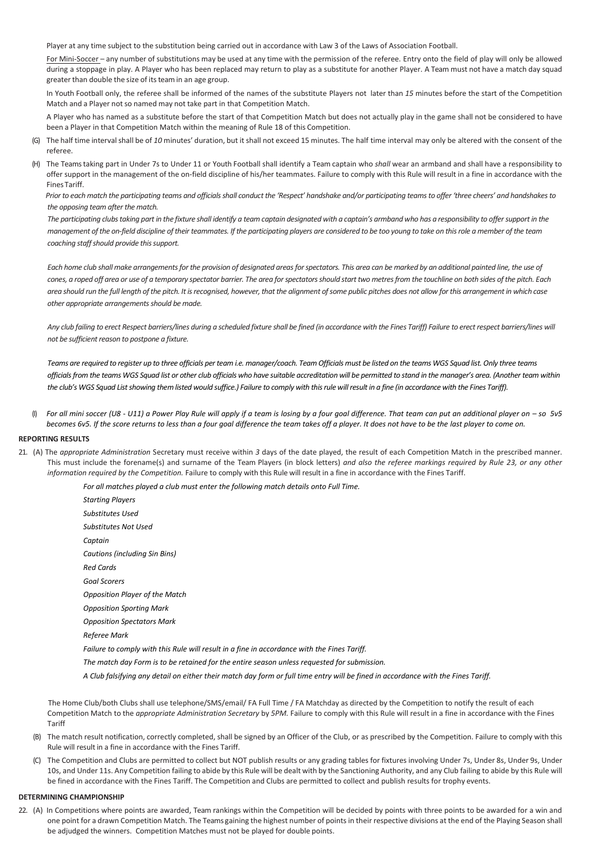Player at any time subject to the substitution being carried out in accordance with Law 3 of the Laws of Association Football.

For Mini-Soccer - any number of substitutions may be used at any time with the permission of the referee. Entry onto the field of play will only be allowed during a stoppage in play. A Player who has been replaced may return to play as a substitute for another Player. A Team must not have a match day squad greater than double the size of its team in an age group.

In Youth Football only, the referee shall be informed of the names of the substitute Players not later than *15* minutes before the start of the Competition Match and a Player not so named may not take part in that Competition Match.

A Player who has named as a substitute before the start of that Competition Match but does not actually play in the game shall not be considered to have been a Player in that Competition Match within the meaning of Rule 18 of this Competition.

- (G) The half time intervalshall be of *10* minutes' duration, but it shall not exceed 15 minutes. The half time interval may only be altered with the consent of the referee.
- (H) The Teams taking part in Under 7s to Under 11 or Youth Football shall identify a Team captain who *shall* wear an armband and shall have a responsibility to offer support in the management of the on-field discipline of his/her teammates. Failure to comply with this Rule will result in a fine in accordance with the FinesTariff.

 *Prior to each match the participating teams and officials shall conduct the 'Respect' handshake and/or participating teams to offer 'three cheers' and handshakes to the opposing team after the match.*

The participating clubs taking part in the fixture shall identify a team captain designated with a captain's armband who has a responsibility to offer support in the *management of the on-field discipline of their teammates. If the participating players are considered to be too young to take on this role a member of the team coaching staff should provide this support.*

*Each home club shall make arrangements for the provision of designated areas for spectators. This area can be marked by an additional painted line, the use of cones, a roped off area or use of a temporary spectator barrier. The area for spectators should start two metres from the touchline on both sides of the pitch. Each*  area should run the full length of the pitch. It is recognised, however, that the alignment of some public pitches does not allow for this arrangement in which case *other appropriate arrangements should be made.*

Any club failing to erect Respect barriers/lines during a scheduled fixture shall be fined (in accordance with the Fines Tariff) Failure to erect respect barriers/lines will *not be sufficient reason to postpone a fixture.*

*Teams are required to register up to three officials per team i.e. manager/coach. Team Officials must be listed on the teams WGS Squad list. Only three teams officials from the teams WGS Squad list or other club officials who have suitable accreditation will be permitted to stand in the manager's area. (Another team within the club's WGS Squad List showing them listed would suffice.) Failure to comply with this rule will result in a fine (in accordance with the Fines Tariff).*

(I) *For all mini soccer (U8 - U11) a Power Play Rule will apply if a team is losing by a four goal difference. That team can put an additional player on – so 5v5 becomes 6v5. If the score returns to less than a four goal difference the team takes off a player. It does not have to be the last player to come on.*

### **REPORTING RESULTS**

21. (A) The *appropriate Administration* Secretary must receive within *3* days of the date played, the result of each Competition Match in the prescribed manner. This must include the forename(s) and surname of the Team Players (in block letters) *and also the referee markings required by Rule 23, or any other information required by the Competition.* Failure to comply with this Rule will result in a fine in accordance with the Fines Tariff.

*For all matches played a club must enter the following match details onto Full Time.*

*Starting Players Substitutes Used Substitutes Not Used Captain Cautions (including Sin Bins) Red Cards Goal Scorers Opposition Player of the Match Opposition Sporting Mark Opposition Spectators Mark Referee Mark Failure to comply with this Rule will result in a fine in accordance with the Fines Tariff. The match day Form is to be retained for the entire season unless requested for submission.*

*A Club falsifying any detail on either their match day form or full time entry will be fined in accordance with the Fines Tariff.*

The Home Club/both Clubs shall use telephone/SMS/email/ FA Full Time / FA Matchday as directed by the Competition to notify the result of each Competition Match to the *appropriate Administration Secretary* by *5PM.* Failure to comply with this Rule will result in a fine in accordance with the Fines Tariff

- (B) The match result notification, correctly completed, shall be signed by an Officer of the Club, or as prescribed by the Competition. Failure to comply with this Rule will result in a fine in accordance with the Fines Tariff.
- (C) The Competition and Clubs are permitted to collect but NOT publish results or any grading tables for fixtures involving Under 7s, Under 8s, Under 9s, Under 9s, Under 10s, and Under 11s. Any Competition failing to abide by this Rule will be dealt with by the Sanctioning Authority, and any Club failing to abide by this Rule will be fined in accordance with the Fines Tariff. The Competition and Clubs are permitted to collect and publish results for trophy events.

#### **DETERMINING CHAMPIONSHIP**

22. (A) In Competitions where points are awarded, Team rankings within the Competition will be decided by points with three points to be awarded for a win and one point for a drawn Competition Match. The Teams gaining the highest number of points in their respective divisions at the end of the Playing Season shall be adjudged the winners. Competition Matches must not be played for double points.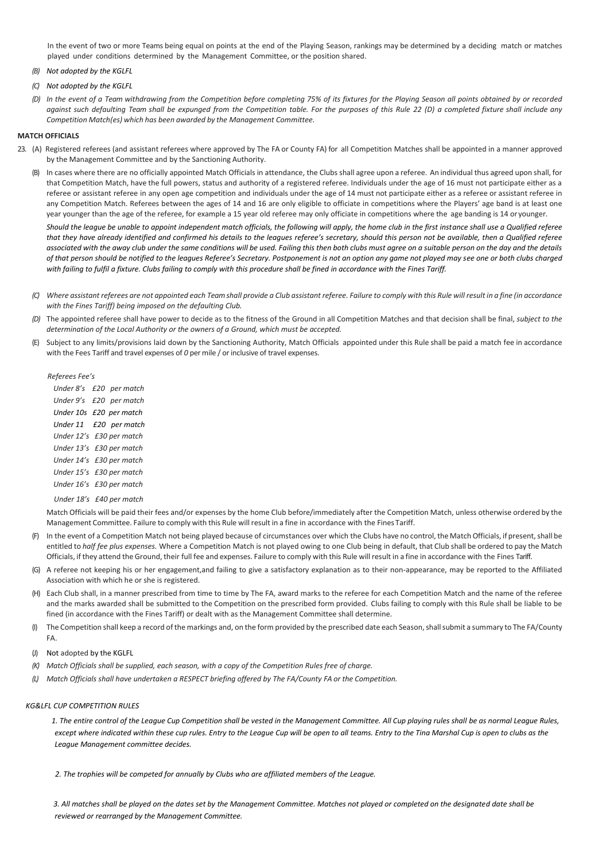In the event of two or more Teams being equal on points at the end of the Playing Season, rankings may be determined by a deciding match or matches played under conditions determined by the Management Committee, or the position shared.

- *(B) Not adopted by the KGLFL*
- *(C) Not adopted by the KGLFL*
- *(D) In the event of a Team withdrawing from the Competition before completing 75% of its fixtures for the Playing Season all points obtained by or recorded against such defaulting Team shall be expunged from the Competition table. For the purposes of this Rule 22 (D) a completed fixture shall include any Competition Match(es) which has been awarded by the Management Committee.*

#### **MATCH OFFICIALS**

- 23. (A) Registered referees (and assistant referees where approved by The FA or County FA) for all Competition Matches shall be appointed in a manner approved by the Management Committee and by the Sanctioning Authority.
	- (B) In cases where there are no officially appointed Match Officials in attendance, the Clubs shall agree upon a referee. An individual thus agreed upon shall, for that Competition Match, have the full powers, status and authority of a registered referee. Individuals under the age of 16 must not participate either as a referee or assistant referee in any open age competition and individuals under the age of 14 must not participate either as a referee or assistant referee in any Competition Match. Referees between the ages of 14 and 16 are only eligible to officiate in competitions where the Players' age band is at least one year younger than the age of the referee, for example a 15 year old referee may only officiate in competitions where the age banding is 14 or younger.

*Should the league be unable to appoint independent match officials, the following will apply, the home club in the first instance shall use a Qualified referee that they have already identified and confirmed his details to the leagues referee's secretary, should this person not be available, then a Qualified referee associated with the away club under the same conditions will be used. Failing this then both clubs must agree on a suitable person on the day and the details of that person should be notified to the leagues Referee's Secretary. Postponement is not an option any game not played may see one or both clubs charged with failing to fulfil a fixture. Clubs failing to comply with this procedure shall be fined in accordance with the Fines Tariff.*

- *(C) Where assistant referees are not appointed each Team shall provide a Club assistant referee. Failure to comply with this Rule will result in a fine (in accordance with the Fines Tariff) being imposed on the defaulting Club.*
- *(D)* The appointed referee shall have power to decide as to the fitness of the Ground in all Competition Matches and that decision shall be final, *subject to the determination of the Local Authority or the owners of a Ground, which must be accepted.*
- (E) Subject to any limits/provisions laid down by the Sanctioning Authority, Match Officials appointed under this Rule shall be paid a match fee in accordance with the Fees Tariff and travel expenses of *0* per mile / or inclusive of travel expenses.

*Referees Fee's*

 *Under 8's £20 per match Under 9's £20 per match Under 10s £20 per match Under 11 £20 per match Under 12's £30 per match Under 13's £30 per match Under 14's £30 per match Under 15's £30 per match Under 16's £30 per match Under 18's £40 per match*

Match Officials will be paid their fees and/or expenses by the home Club before/immediately after the Competition Match, unless otherwise ordered by the Management Committee. Failure to comply with this Rule willresult in a fine in accordance with the Fines Tariff.

- In the event of a Competition Match not being played because of circumstances over which the Clubs have no control, the Match Officials, if present, shall be entitled to *half fee plus expenses.* Where a Competition Match is not played owing to one Club being in default, that Club shall be ordered to pay the Match Officials, if they attend the Ground, their full fee and expenses. Failure to comply with this Rule will result in a fine in accordance with the Fines Tariff.
- (G) A referee not keeping his or her engagement,and failing to give a satisfactory explanation as to their non-appearance, may be reported to the Affiliated Association with which he or she is registered.
- (H) Each Club shall, in a manner prescribed from time to time by The FA, award marks to the referee for each Competition Match and the name of the referee and the marks awarded shall be submitted to the Competition on the prescribed form provided. Clubs failing to comply with this Rule shall be liable to be fined (in accordance with the Fines Tariff) or dealt with as the Management Committee shall determine.
- (I) The Competition shall keep a record of the markings and, on the form provided by the prescribed date each Season, shall submit a summary to The FA/County FA.
- (J) Not adopted by the KGLFL
- *(K) Match Officials shall be supplied, each season, with a copy of the Competition Rules free of charge.*
- *(L) Match Officials shall have undertaken a RESPECT briefing offered by The FA/County FA or the Competition.*

## *KG&LFL CUP COMPETITION RULES*

 *1. The entire control of the League Cup Competition shall be vested in the Management Committee. All Cup playing rules shall be as normal League Rules,*  except where indicated within these cup rules. Entry to the League Cup will be open to all teams. Entry to the Tina Marshal Cup is open to clubs as the *League Management committee decides.*

 *2. The trophies will be competed for annually by Clubs who are affiliated members of the League.*

 *3. All matches shall be played on the dates set by the Management Committee. Matches not played or completed on the designated date shall be reviewed or rearranged by the Management Committee.*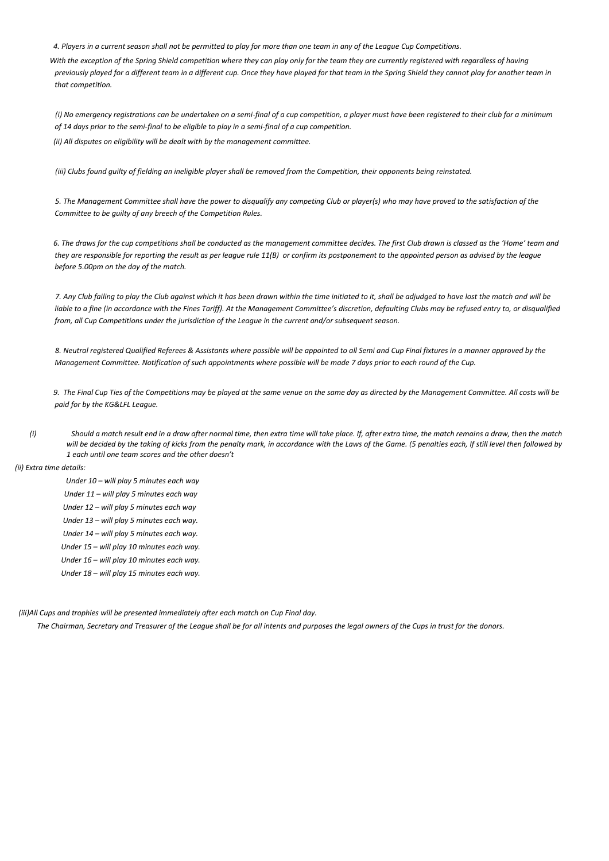*4. Players in a current season shall not be permitted to play for more than one team in any of the League Cup Competitions.*

With the exception of the Spring Shield competition where they can play only for the team they are currently registered with regardless of having *previously played for a different team in a different cup. Once they have played for that team in the Spring Shield they cannot play for another team in that competition.*

 *(i) No emergency registrations can be undertaken on a semi-final of a cup competition, a player must have been registered to their club for a minimum of 14 days prior to the semi-final to be eligible to play in a semi-final of a cup competition. (ii) All disputes on eligibility will be dealt with by the management committee.*

 *(iii) Clubs found guilty of fielding an ineligible player shall be removed from the Competition, their opponents being reinstated.*

 *5. The Management Committee shall have the power to disqualify any competing Club or player(s) who may have proved to the satisfaction of the Committee to be guilty of any breech of the Competition Rules.*

 *6. The draws for the cup competitions shall be conducted as the management committee decides. The first Club drawn is classed as the 'Home' team and they are responsible for reporting the result as per league rule 11(B) or confirm its postponement to the appointed person as advised by the league before 5.00pm on the day of the match.*

 *7. Any Club failing to play the Club against which it has been drawn within the time initiated to it, shall be adjudged to have lost the match and will be liable to a fine (in accordance with the Fines Tariff). At the Management Committee's discretion, defaulting Clubs may be refused entry to, or disqualified from, all Cup Competitions under the jurisdiction of the League in the current and/or subsequent season.*

 *8. Neutral registered Qualified Referees & Assistants where possible will be appointed to all Semi and Cup Final fixtures in a manner approved by the Management Committee. Notification of such appointments where possible will be made 7 days prior to each round of the Cup.*

 *9. The Final Cup Ties of the Competitions may be played at the same venue on the same day as directed by the Management Committee. All costs will be paid for by the KG&LFL League.*

*(i) Should a match result end in a draw after normal time, then extra time will take place. If, after extra time, the match remains a draw, then the match*  will be decided by the taking of kicks from the penalty mark, in accordance with the Laws of the Game. (5 penalties each, If still level then followed by *1 each until one team scores and the other doesn't*

 *(ii) Extra time details:*

- *Under 10 – will play 5 minutes each way*
- *Under 11 – will play 5 minutes each way*
- *Under 12 – will play 5 minutes each way*
- *Under 13 – will play 5 minutes each way.*
- *Under 14 – will play 5 minutes each way.*
- *Under 15 – will play 10 minutes each way.*
- *Under 16 – will play 10 minutes each way.*
- *Under 18 – will play 15 minutes each way.*

 *(iii)All Cups and trophies will be presented immediately after each match on Cup Final day.*

 *The Chairman, Secretary and Treasurer of the League shall be for all intents and purposes the legal owners of the Cups in trust for the donors.*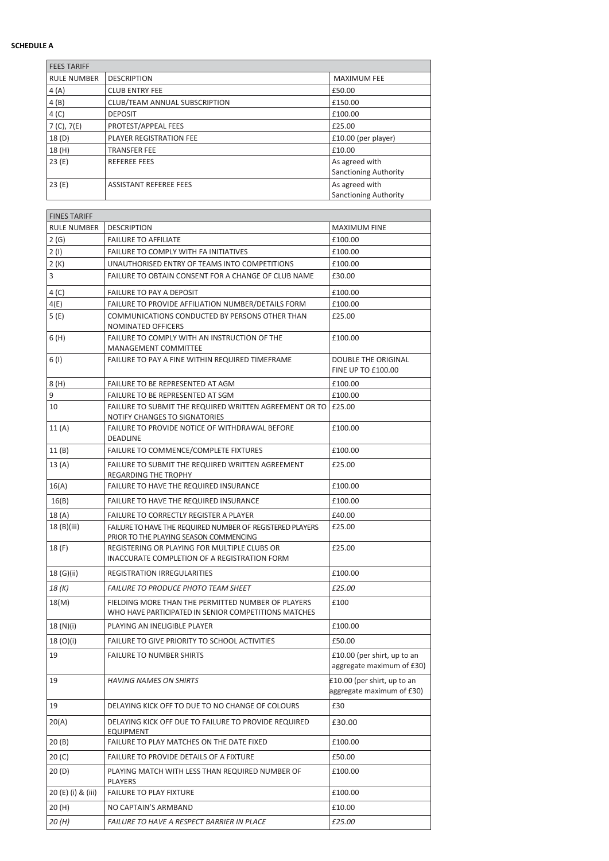# **SCHEDULE A**

| <b>FEES TARIFF</b> |                                |                                                |
|--------------------|--------------------------------|------------------------------------------------|
| <b>RULE NUMBER</b> | <b>DESCRIPTION</b>             | <b>MAXIMUM FEE</b>                             |
| 4(A)               | <b>CLUB ENTRY FEE</b>          | £50.00                                         |
| 4(B)               | CLUB/TEAM ANNUAL SUBSCRIPTION  | £150.00                                        |
| 4(C)               | <b>DEPOSIT</b>                 | £100.00                                        |
| 7 (C), 7(E)        | PROTEST/APPEAL FEES            | £25.00                                         |
| 18(D)              | <b>PLAYER REGISTRATION FEE</b> | £10.00 (per player)                            |
| 18 (H)             | <b>TRANSFER FEE</b>            | £10.00                                         |
| 23(E)              | <b>REFEREE FEES</b>            | As agreed with<br><b>Sanctioning Authority</b> |
| 23(E)              | <b>ASSISTANT REFEREE FEES</b>  | As agreed with<br><b>Sanctioning Authority</b> |

| <b>FINES TARIFF</b> |                                                                                                            |                                                          |
|---------------------|------------------------------------------------------------------------------------------------------------|----------------------------------------------------------|
| <b>RULE NUMBER</b>  | <b>DESCRIPTION</b>                                                                                         | <b>MAXIMUM FINE</b>                                      |
| 2(G)                | <b>FAILURE TO AFFILIATE</b>                                                                                | £100.00                                                  |
| 2(1)                | <b>FAILURE TO COMPLY WITH FA INITIATIVES</b>                                                               | £100.00                                                  |
| 2 (K)               | UNAUTHORISED ENTRY OF TEAMS INTO COMPETITIONS                                                              | £100.00                                                  |
| 3                   | FAILURE TO OBTAIN CONSENT FOR A CHANGE OF CLUB NAME                                                        | £30.00                                                   |
| 4 (C)               | <b>FAILURE TO PAY A DEPOSIT</b>                                                                            | £100.00                                                  |
| 4(E)                | FAILURE TO PROVIDE AFFILIATION NUMBER/DETAILS FORM                                                         | £100.00                                                  |
| 5 (E)               | COMMUNICATIONS CONDUCTED BY PERSONS OTHER THAN<br>NOMINATED OFFICERS                                       | £25.00                                                   |
| 6 (H)               | FAILURE TO COMPLY WITH AN INSTRUCTION OF THE<br>MANAGEMENT COMMITTEE                                       | £100.00                                                  |
| 6(1)                | FAILURE TO PAY A FINE WITHIN REQUIRED TIMEFRAME                                                            | <b>DOUBLE THE ORIGINAL</b><br><b>FINE UP TO £100.00</b>  |
| 8 (H)               | FAILURE TO BE REPRESENTED AT AGM                                                                           | £100.00                                                  |
| 9                   | FAILURE TO BE REPRESENTED AT SGM                                                                           | £100.00                                                  |
| 10                  | FAILURE TO SUBMIT THE REQUIRED WRITTEN AGREEMENT OR TO E25.00<br>NOTIFY CHANGES TO SIGNATORIES             |                                                          |
| 11(A)               | FAILURE TO PROVIDE NOTICE OF WITHDRAWAL BEFORE<br>DEADLINE                                                 | £100.00                                                  |
| 11 (B)              | FAILURE TO COMMENCE/COMPLETE FIXTURES                                                                      | £100.00                                                  |
| 13(A)               | FAILURE TO SUBMIT THE REQUIRED WRITTEN AGREEMENT<br>REGARDING THE TROPHY                                   | £25.00                                                   |
| 16(A)               | FAILURE TO HAVE THE REQUIRED INSURANCE                                                                     | £100.00                                                  |
| 16(B)               | FAILURE TO HAVE THE REQUIRED INSURANCE                                                                     | £100.00                                                  |
| 18 (A)              | FAILURE TO CORRECTLY REGISTER A PLAYER                                                                     | £40.00                                                   |
| 18 (B)(iii)         | FAILURE TO HAVE THE REQUIRED NUMBER OF REGISTERED PLAYERS<br>PRIOR TO THE PLAYING SEASON COMMENCING        | £25.00                                                   |
| 18 (F)              | REGISTERING OR PLAYING FOR MULTIPLE CLUBS OR<br>INACCURATE COMPLETION OF A REGISTRATION FORM               | £25.00                                                   |
| 18 (G)(ii)          | REGISTRATION IRREGULARITIES                                                                                | £100.00                                                  |
| 18 (K)              | <b>FAILURE TO PRODUCE PHOTO TEAM SHEET</b>                                                                 | £25.00                                                   |
| 18(M)               | FIELDING MORE THAN THE PERMITTED NUMBER OF PLAYERS<br>WHO HAVE PARTICIPATED IN SENIOR COMPETITIONS MATCHES | £100                                                     |
| 18 (N)(i)           | PLAYING AN INELIGIBLE PLAYER                                                                               | £100.00                                                  |
| 18 (O)(i)           | FAILURE TO GIVE PRIORITY TO SCHOOL ACTIVITIES                                                              | £50.00                                                   |
| 19                  | <b>FAILURE TO NUMBER SHIRTS</b>                                                                            | £10.00 (per shirt, up to an<br>aggregate maximum of £30) |
| 19                  | <b>HAVING NAMES ON SHIRTS</b>                                                                              | £10.00 (per shirt, up to an<br>aggregate maximum of £30) |
| 19                  | DELAYING KICK OFF TO DUE TO NO CHANGE OF COLOURS                                                           | £30                                                      |
| 20(A)               | DELAYING KICK OFF DUE TO FAILURE TO PROVIDE REQUIRED<br>EQUIPMENT                                          | £30.00                                                   |
| 20 (B)              | FAILURE TO PLAY MATCHES ON THE DATE FIXED                                                                  | £100.00                                                  |
| 20 (C)              | FAILURE TO PROVIDE DETAILS OF A FIXTURE                                                                    | £50.00                                                   |
| 20(D)               | PLAYING MATCH WITH LESS THAN REQUIRED NUMBER OF<br>PLAYERS                                                 | £100.00                                                  |
| 20 (E) (i) & (iii)  | <b>FAILURE TO PLAY FIXTURE</b>                                                                             | £100.00                                                  |
| 20 (H)              | NO CAPTAIN'S ARMBAND                                                                                       | £10.00                                                   |
| 20 (H)              | FAILURE TO HAVE A RESPECT BARRIER IN PLACE                                                                 | £25.00                                                   |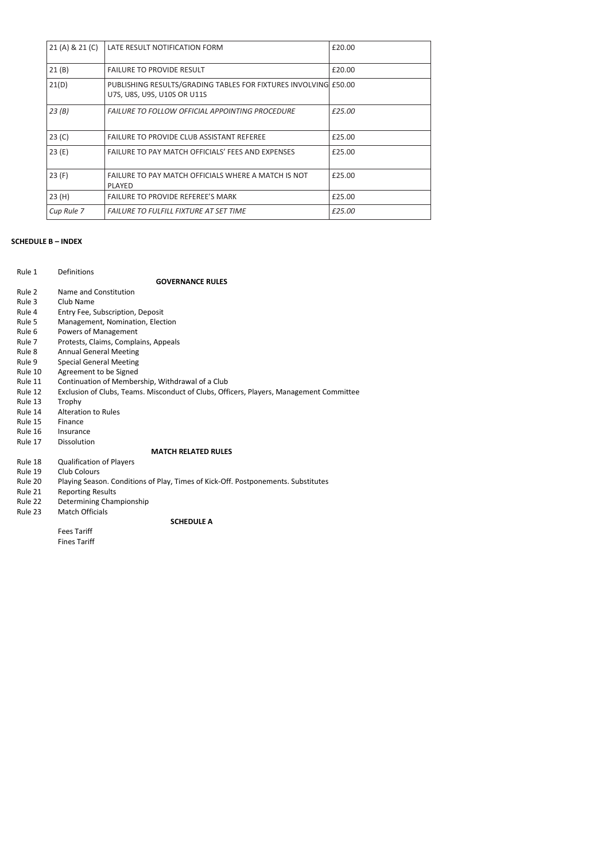| 21 (A) & 21 (C) | LATE RESULT NOTIFICATION FORM                                                                  | £20.00 |
|-----------------|------------------------------------------------------------------------------------------------|--------|
| 21(B)           | <b>FAILURE TO PROVIDE RESULT</b>                                                               | £20.00 |
| 21(D)           | PUBLISHING RESULTS/GRADING TABLES FOR FIXTURES INVOLVING £50.00<br>U7S. U8S. U9S. U10S OR U11S |        |
| 23(B)           | <b>FAILURE TO FOLLOW OFFICIAL APPOINTING PROCEDURE</b>                                         | £25.00 |
| 23 (C)          | <b>FAILURE TO PROVIDE CLUB ASSISTANT REFEREE</b>                                               | £25.00 |
| 23(E)           | FAILURE TO PAY MATCH OFFICIALS' FEES AND EXPENSES                                              | £25.00 |
| 23(F)           | FAILURE TO PAY MATCH OFFICIALS WHERE A MATCH IS NOT<br>PLAYED                                  | £25.00 |
| 23(H)           | <b>FAILURE TO PROVIDE REFEREE'S MARK</b>                                                       | £25.00 |
| Cup Rule 7      | <b>FAILURE TO FULFILL FIXTURE AT SET TIME</b>                                                  | £25.00 |

# **SCHEDULE B – INDEX**

Fines Tariff

| Rule 1  | Definitions                                                                             |
|---------|-----------------------------------------------------------------------------------------|
|         | <b>GOVERNANCE RULES</b>                                                                 |
| Rule 2  | Name and Constitution                                                                   |
| Rule 3  | Club Name                                                                               |
| Rule 4  | Entry Fee, Subscription, Deposit                                                        |
| Rule 5  | Management, Nomination, Election                                                        |
| Rule 6  | Powers of Management                                                                    |
| Rule 7  | Protests, Claims, Complains, Appeals                                                    |
| Rule 8  | <b>Annual General Meeting</b>                                                           |
| Rule 9  | <b>Special General Meeting</b>                                                          |
| Rule 10 | Agreement to be Signed                                                                  |
| Rule 11 | Continuation of Membership, Withdrawal of a Club                                        |
| Rule 12 | Exclusion of Clubs, Teams. Misconduct of Clubs, Officers, Players, Management Committee |
| Rule 13 | Trophy                                                                                  |
| Rule 14 | Alteration to Rules                                                                     |
| Rule 15 | Finance                                                                                 |
| Rule 16 | Insurance                                                                               |
| Rule 17 | Dissolution                                                                             |
|         | <b>MATCH RELATED RULES</b>                                                              |
| Rule 18 | <b>Qualification of Players</b>                                                         |
| Rule 19 | Club Colours                                                                            |
| Rule 20 | Playing Season. Conditions of Play, Times of Kick-Off. Postponements. Substitutes       |
| Rule 21 | <b>Reporting Results</b>                                                                |
| Rule 22 | Determining Championship                                                                |
| Rule 23 | <b>Match Officials</b>                                                                  |
|         | <b>SCHEDULE A</b>                                                                       |
|         | <b>Fees Tariff</b>                                                                      |